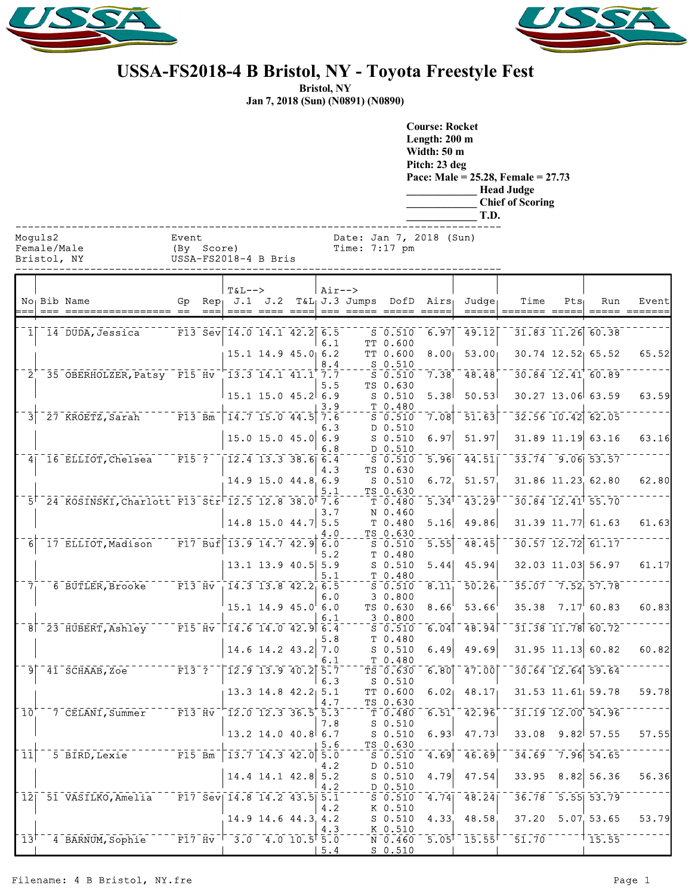



## **USSA-FS2018-4 B Bristol, NY - Toyota Freestyle Fest**

**Bristol, NY Jan 7, 2018 (Sun) (N0891) (N0890)**

> **Course: Rocket Length: 200 m Width: 50 m Pitch: 23 deg Pace: Male = 25.28, Female = 27.73 \_\_\_\_\_\_\_\_\_\_\_\_\_ Head Judge \_\_\_\_\_\_\_\_\_\_\_\_\_ Chief of Scoring \_\_\_\_\_\_\_\_\_\_\_\_\_ T.D.**

| Moa |  |  |  |
|-----|--|--|--|

Female/Male (By Score) Time: 7:17 pm<br>Bristol, NY USSA-FS2018-4 B Bris

| Bristol<br>N) | USSA-FS2018-4 B Bris |
|---------------|----------------------|
|               |                      |

|                            | No Bib Name                                                                                            |         | <b>T&amp;L--&gt;</b>                                     |                          | $Air--$     | Gp Rep $J.1$ $J.2$ T&L J.3 Jumps DofD Airs |                                                                                  |                     | Judge              | Time          | $Pts_1$ | Run                     | Event         |
|----------------------------|--------------------------------------------------------------------------------------------------------|---------|----------------------------------------------------------|--------------------------|-------------|--------------------------------------------|----------------------------------------------------------------------------------|---------------------|--------------------|---------------|---------|-------------------------|---------------|
| $=$                        |                                                                                                        | $= - -$ | $== - -$                                                 | $= = = =$                |             | ____  ___ ____ _____                       |                                                                                  | $=$ $=$ $=$ $=$ $=$ | =====              | ======= ===== |         |                         | ===== ======= |
|                            | $1$   14 DUDA, Jessica F13 Sev 14.0 14.1 42.2 6.5                                                      |         |                                                          |                          |             |                                            | $S$ 0.510                                                                        | 6.97                | 49.12              |               |         | $31.83$ $11.26$ 60.38   |               |
|                            |                                                                                                        |         |                                                          |                          | 6.1         |                                            | TT 0.600                                                                         |                     |                    |               |         |                         |               |
|                            |                                                                                                        |         |                                                          | $15.1$ 14.9 45.0 6.2     |             |                                            | TT 0.600                                                                         | 8.00 <sub>1</sub>   | 53.00              |               |         | $30.74$ 12.52 65.52     | 65.52         |
|                            | 2 35 OBERHOLZER, Patsy F15 Hv 13.3 14.1 41.1 7.7                                                       |         |                                                          |                          | 8.4         |                                            | $S$ 0.510<br>$S_0.510$                                                           | 7.38                | 48.48              |               |         | $30.84$ $12.41$ 60.89   |               |
|                            |                                                                                                        |         |                                                          |                          | 5.5         |                                            | TS 0.630                                                                         |                     |                    |               |         |                         |               |
|                            |                                                                                                        |         | $15.1$ 15.0 45.2 6.9                                     |                          |             |                                            | $S$ 0.510                                                                        | 5.38                | 50.53              |               |         | $30.27$ 13.06 63.59     | 63.59         |
|                            |                                                                                                        |         |                                                          |                          | 3.9         |                                            | T 0.480                                                                          |                     |                    |               |         |                         |               |
| 3 <sup>1</sup>             | 27 KROETZ, Sarah F13 Bm                                                                                |         | $\begin{bmatrix} 14.7 & 15.0 & 44.5 & 7.6 \end{bmatrix}$ |                          | 6.3         |                                            | $S$ 0.510<br>D 0.510                                                             | 7.08                | $\overline{51.63}$ |               |         | $32.56$ 10.42 62.05     |               |
|                            |                                                                                                        |         |                                                          | $15.0$ 15.0 45.0 6.9     |             |                                            | $S$ 0.510                                                                        | 6.97                | 51.97              |               |         | $31.89$ $11.19$ 63.16   | 63.16         |
|                            |                                                                                                        |         |                                                          |                          | 6.8         |                                            | D 0.510                                                                          |                     |                    |               |         |                         |               |
|                            | $4$ <sup>-16</sup> ELLIOT, Chelsea F15 <sup>-?</sup>                                                   |         | $\begin{bmatrix} 12.4 & 13.3 & 38.6 & 6.4 \end{bmatrix}$ |                          |             |                                            | $S$ 0.510                                                                        | 5.96                | 44.51              |               |         | $33.74$ $9.06$ $53.57$  |               |
|                            |                                                                                                        |         |                                                          | 14.9 15.0 44.8 6.9       | 4.3         |                                            | TS 0.630<br>$S$ 0.510                                                            | 6.72                | 51.57              |               |         | 31.86 11.23 62.80       | 62.80         |
|                            |                                                                                                        |         |                                                          |                          | 5.1         |                                            | TS 0.630                                                                         |                     |                    |               |         |                         |               |
|                            | 5 24 KOSINSKI, Charlott F13 Str 12.5 12.8 38.0 7.6                                                     |         |                                                          |                          |             |                                            | T 0.480                                                                          | 5.34                | 43.29              |               |         | $30.84$ 12.41 55.70     |               |
|                            |                                                                                                        |         |                                                          |                          | 3.7         |                                            | N 0.460                                                                          |                     |                    |               |         |                         | 61.63         |
|                            |                                                                                                        |         |                                                          | 14.8 15.0 44.7 5.5       | 4.0         |                                            | T 0.480<br>TS 0.630                                                              | 5.16                | 49.86              |               |         | $31.39$ 11.77 61.63     |               |
| 6                          | 17 ELLIOT, Madison F17 Buf 13.9 14.7 42.9 6.0                                                          |         |                                                          |                          |             |                                            | $S$ 0.510                                                                        | 5.55                | 48.45              |               |         | $30.57$ $12.72$ $61.17$ |               |
|                            |                                                                                                        |         |                                                          |                          | 5.2         |                                            | T 0.480                                                                          |                     |                    |               |         |                         |               |
|                            |                                                                                                        |         |                                                          | $13.1$ 13.9 40.5 5.9     |             |                                            | $S$ 0.510                                                                        | 5.44                | 45.94              |               |         | 32.03 11.03 56.97       | 61.17         |
| $\overline{7}$             | 6 BUTLER, Brooke                                                                                       |         | $F = F13$ $\overline{Hv}$ $14.3$ $13.8$ $42.2$ $6.5$     |                          | 5.1         |                                            | T 0.480<br>$S = 0.510$                                                           | 8.11                | 50.26              |               |         | $35.07 - 7.52$ 57.78    |               |
|                            |                                                                                                        |         |                                                          |                          | 6.0         |                                            | 30.800                                                                           |                     |                    |               |         |                         |               |
|                            |                                                                                                        |         |                                                          | $15.1$ $14.9$ $45.0$ 6.0 |             |                                            | TS 0.630                                                                         | 8.66                | 53.66              | 35.38         |         | $7.17\,60.83$           | 60.83         |
|                            |                                                                                                        |         |                                                          |                          | 6.1         |                                            | 30.800<br>$S$ $0.510$                                                            | 6.04                | 48.94              |               |         | $31.38$ $11.78$ $60.72$ |               |
|                            |                                                                                                        |         |                                                          |                          | 5.8         |                                            | T 0.480                                                                          |                     |                    |               |         |                         |               |
|                            |                                                                                                        |         |                                                          | $14.6$ 14.2 43.2 7.0     |             |                                            | $S$ 0.510                                                                        | 6.49                | 49.69              |               |         | $31.95$ 11.13 60.82     | 60.82         |
|                            |                                                                                                        |         |                                                          |                          | 6.1         |                                            | T 0.480                                                                          |                     |                    |               |         |                         |               |
|                            | $9^{--}41^{-}$ SCHAAB, Zoe <sup>--------</sup> F13 <sup>-</sup> ?                                      |         | $-12.9$ 13.9 40.2 5.7                                    |                          | 6.3         |                                            | TS 0.630<br>$S_0.510$                                                            | 6.80                | 47.00              |               |         | $30.64$ 12.64 59.64     |               |
|                            |                                                                                                        |         |                                                          | $13.3$ 14.8 42.2 5.1     |             |                                            | TT 0.600                                                                         | 6.02                | 48.17              |               |         | $31.53$ $11.61$ $59.78$ | 59.78         |
|                            |                                                                                                        |         |                                                          |                          | 4.7         |                                            | TS 0.630                                                                         |                     |                    |               |         |                         |               |
| $10^{\circ}$               | $7$ $CELANT$ , Summer                                                                                  |         | $-$ F13 $\text{Hv}$ $-$ 12.0 12.3 36.5 5.3               |                          |             |                                            | T 0.480                                                                          | 6.51                | 42.96              |               |         | 31.19 12.00 54.96       |               |
|                            |                                                                                                        |         |                                                          | $13.2$ 14.0 40.8 6.7     | 7.8         |                                            | $S_0.510$<br>$S_0.510$                                                           | 6.93                | 47.73              | 33.08         |         | 9.82 57.55              | 57.55         |
|                            |                                                                                                        |         |                                                          |                          | 5.6         |                                            | TS 0.630                                                                         |                     |                    |               |         |                         |               |
| $\overline{1}\overline{1}$ | 5 BIRD, Lexie 77777 F15 Bm                                                                             |         | $-13.7 - 14.3 - 42.0$ 5.0                                |                          |             |                                            | $S$ 0.510                                                                        | 4.69                | 46.69              |               |         | $34.69 - 7.96$ 54.65    |               |
|                            |                                                                                                        |         |                                                          |                          | 4.2         |                                            | D 0.510                                                                          |                     |                    |               |         |                         | 56.36         |
|                            |                                                                                                        |         |                                                          | $14.4$ 14.1 42.8 5.2     | 4.2         |                                            | $S$ 0.510<br>D 0.510                                                             | 4.79                | 47.54              | 33.95         |         | $8.82$ 56.36            |               |
|                            | $12$   51 VASILKO, Amelia F17 Sev  14.8 14.2 43.5  5.1                                                 |         |                                                          |                          |             |                                            | $\bar{\mathsf{s}}$ $\bar{\mathsf{o}}$ . $\bar{\mathsf{s}}$ 10 $\bar{\mathsf{o}}$ | 4.74                | 48.24              |               |         | $36.78 - 5.55$ $53.79$  |               |
|                            |                                                                                                        |         |                                                          |                          | 4.2         |                                            | K 0.510                                                                          |                     |                    |               |         |                         |               |
|                            |                                                                                                        |         |                                                          | 14.9 14.6 44.3 4.2       | 4.3         |                                            | $S$ 0.510<br>K 0.510                                                             | 4.33                | 48.58              | 37.20         |         | 5.07, 53.65             | 53.79         |
|                            | $13$ <sup>t-1</sup> 4 BARNUM, Sophie $-17.4$ v <sup>-<math>-3.0</math></sup> 4.0 10.5 <sup>t</sup> 5.0 |         |                                                          |                          |             |                                            | $N = 0.460$                                                                      | 5.05                | $-15.55$           |               |         | $51.70$ $15.55$         |               |
|                            |                                                                                                        |         |                                                          |                          | $\vert 5.4$ |                                            | $S_0.510$                                                                        |                     |                    |               |         |                         |               |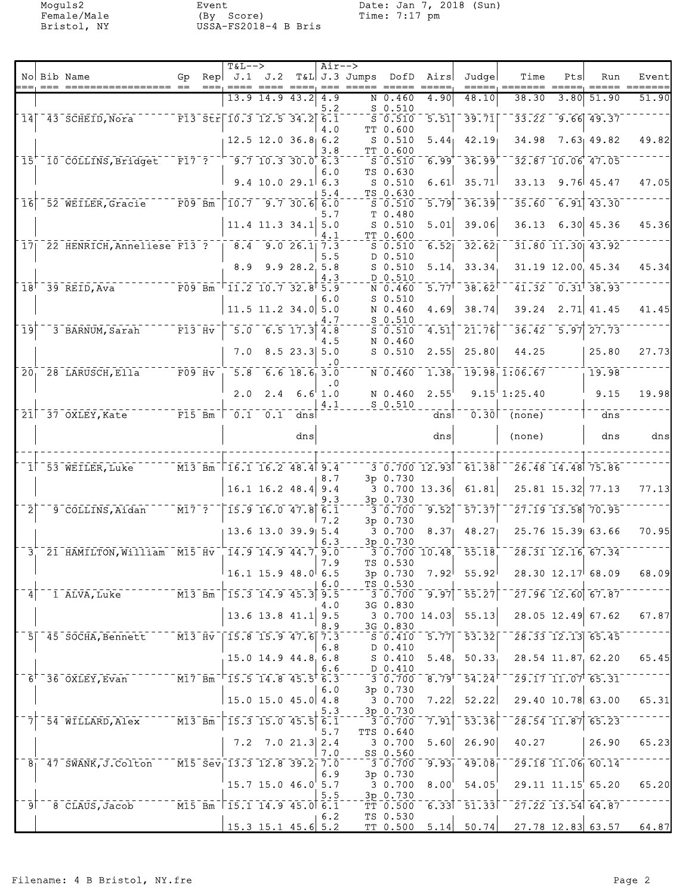Moguls2 Event Date: Jan 7, 2018 (Sun) Female/Male (By Score) Time: 7:17 pm Bristol, NY USSA-FS2018-4 B Bris

|                            |                                                                                                                               |                                                                                                                                                                                                                                                                                                              |      | $T&L-->$                                                                     |                                                    |                                    | $Air--$             |               |                                       |                                |                                                                                                                             |                                                                                                                                                                                                                                                                                                                         |     |                                                                          |       |
|----------------------------|-------------------------------------------------------------------------------------------------------------------------------|--------------------------------------------------------------------------------------------------------------------------------------------------------------------------------------------------------------------------------------------------------------------------------------------------------------|------|------------------------------------------------------------------------------|----------------------------------------------------|------------------------------------|---------------------|---------------|---------------------------------------|--------------------------------|-----------------------------------------------------------------------------------------------------------------------------|-------------------------------------------------------------------------------------------------------------------------------------------------------------------------------------------------------------------------------------------------------------------------------------------------------------------------|-----|--------------------------------------------------------------------------|-------|
|                            | No Bib Name<br>$==  =  =  =  = $                                                                                              | Gp.                                                                                                                                                                                                                                                                                                          | $==$ | $\text{Rep}$ J.1 J.2                                                         |                                                    |                                    |                     | T&L J.3 Jumps | DofD                                  | Airs                           | Judgel                                                                                                                      | Time                                                                                                                                                                                                                                                                                                                    | Pts | Run                                                                      | Event |
|                            |                                                                                                                               |                                                                                                                                                                                                                                                                                                              |      |                                                                              | 13.9 14.9 43.2                                     |                                    | 4.9                 |               | N 0.460                               | 4.90                           | 48.10                                                                                                                       | 38.30                                                                                                                                                                                                                                                                                                                   |     | 3.80 51.90                                                               | 51.90 |
| $\overline{1}\overline{4}$ | 43 SCHEID, Nora                                                                                                               |                                                                                                                                                                                                                                                                                                              |      | $\sqrt{13.5}$ $\sqrt{10.3}$ $\sqrt{12.5}$ $\sqrt{34.2}$                      |                                                    |                                    | 5.2<br>6.1          |               | $S$ 0.510<br>$S$ 0.510                | $\overline{5.51}$              | 39.71                                                                                                                       |                                                                                                                                                                                                                                                                                                                         |     | $33.22 - 9.66$ 49.37                                                     |       |
|                            |                                                                                                                               |                                                                                                                                                                                                                                                                                                              |      |                                                                              | $12.5$ 12.0 36.8 6.2                               |                                    | 4.0                 |               | TT 0.600<br>$S$ 0.510                 | 5.44                           | 42.19                                                                                                                       | 34.98                                                                                                                                                                                                                                                                                                                   |     | $7.63 + 49.82$                                                           | 49.82 |
|                            |                                                                                                                               |                                                                                                                                                                                                                                                                                                              |      |                                                                              |                                                    |                                    | 3.8                 |               | TT 0.600                              |                                |                                                                                                                             |                                                                                                                                                                                                                                                                                                                         |     |                                                                          |       |
|                            | 15 10 COLLINS, Bridget                                                                                                        |                                                                                                                                                                                                                                                                                                              |      | $\overline{F17}$ ? $\overline{9.7}$ 10.3 30.0 6.3                            |                                                    |                                    | 6.0                 |               | S <sub>0.510</sub><br>TS 0.630        | 6.99                           | 36.99                                                                                                                       |                                                                                                                                                                                                                                                                                                                         |     | $32.87$ 10.06 47.05                                                      |       |
|                            |                                                                                                                               |                                                                                                                                                                                                                                                                                                              |      |                                                                              | $9.4$ 10.0 29.1 6.3                                |                                    | 5.4                 |               | $S$ 0.510<br>TS 0.630                 | 6.61                           | 35.71                                                                                                                       | 33.13                                                                                                                                                                                                                                                                                                                   |     | $9.76$ 45.47                                                             | 47.05 |
| 16                         | 52 WEILER, Gracie F09 Bm                                                                                                      |                                                                                                                                                                                                                                                                                                              |      |                                                                              | $\overline{10.7}$ 9.7 30.6                         |                                    | 6.0                 |               | $S_0.510$                             | 5.79                           | 36.39                                                                                                                       | 35.60                                                                                                                                                                                                                                                                                                                   |     | $\begin{bmatrix} 6.91 \end{bmatrix} \begin{bmatrix} 43.30 \end{bmatrix}$ |       |
|                            |                                                                                                                               |                                                                                                                                                                                                                                                                                                              |      |                                                                              | $11.4$ 11.3 34.1 5.0                               |                                    | 5.7                 |               | T 0.480<br>$S$ 0.510                  | 5.01                           | 39.06                                                                                                                       | 36.13                                                                                                                                                                                                                                                                                                                   |     | 6.30   45.36                                                             | 45.36 |
|                            | 17 22 HENRICH, Anneliese F13 ?   8.4 9.0 26.1 7.3                                                                             |                                                                                                                                                                                                                                                                                                              |      |                                                                              |                                                    |                                    | 4.1                 |               | TT 0.600<br>$S$ 0.510                 | 6.52                           | $\overline{32.62}$                                                                                                          |                                                                                                                                                                                                                                                                                                                         |     | $31.80$ $11.30$ $43.92$                                                  |       |
|                            |                                                                                                                               |                                                                                                                                                                                                                                                                                                              |      |                                                                              |                                                    |                                    | 5.5                 |               | D 0.510                               |                                |                                                                                                                             |                                                                                                                                                                                                                                                                                                                         |     |                                                                          |       |
|                            |                                                                                                                               |                                                                                                                                                                                                                                                                                                              |      | 8.9                                                                          |                                                    | 9.928.25.8                         | 4.3                 |               | $S$ 0.510<br>D 0.510                  | 5.14                           | 33.34                                                                                                                       |                                                                                                                                                                                                                                                                                                                         |     | 31.19 12.00 45.34                                                        | 45.34 |
|                            | $T = 7.7777$ $F09$ Bm <sup>-<math>T11.2</math></sup> 10.7 32.8 <sup>†</sup> 5.9<br>$18$ <sup><math>-39</math></sup> REID, Ava |                                                                                                                                                                                                                                                                                                              |      |                                                                              |                                                    |                                    | 6.0                 |               | N 0.460<br>$S$ 0.510                  | $\overline{5.77}$ <sup>T</sup> | 38.62                                                                                                                       |                                                                                                                                                                                                                                                                                                                         |     | $41.32 - 0.31$ 38.93                                                     |       |
|                            |                                                                                                                               |                                                                                                                                                                                                                                                                                                              |      |                                                                              | $11.5$ 11.2 34.0 5.0                               |                                    |                     |               | N 0.460                               | 4.69                           | 38.74                                                                                                                       | 39.24                                                                                                                                                                                                                                                                                                                   |     | $2.71$ 41.45                                                             | 41.45 |
| $\overline{1}\overline{9}$ | 3 BARNUM, Sarah                                                                                                               | $\overline{F13}$ $\overline{Hv}$                                                                                                                                                                                                                                                                             |      | $\overline{5.0}$                                                             |                                                    | $\overline{6.5}$ $\overline{17.3}$ | 4.7<br>4.8          |               | $S$ 0.510<br>$S$ 0.510                | 4.51                           | $\overline{21.76}$                                                                                                          | $\overline{36.42}$                                                                                                                                                                                                                                                                                                      |     | $\overline{5.97}$ 27.73                                                  |       |
|                            |                                                                                                                               |                                                                                                                                                                                                                                                                                                              |      | 7.0                                                                          |                                                    | $8.5$ 23.3 5.0                     | 4.5                 |               | N 0.460<br>$S$ 0.510                  | 2.55                           | 25.80                                                                                                                       | 44.25                                                                                                                                                                                                                                                                                                                   |     | 25.80                                                                    | 27.73 |
|                            |                                                                                                                               |                                                                                                                                                                                                                                                                                                              |      |                                                                              |                                                    |                                    | . 0                 |               |                                       |                                |                                                                                                                             |                                                                                                                                                                                                                                                                                                                         |     |                                                                          |       |
|                            | $201$ $28$ LARUSCH, Ella                                                                                                      | $-$ - $ \frac{1}{2}$ $\frac{1}{2}$ $\frac{1}{2}$ $\frac{1}{2}$ $\frac{1}{2}$ $\frac{1}{2}$ $\frac{1}{2}$ $\frac{1}{2}$ $\frac{1}{2}$ $\frac{1}{2}$ $\frac{1}{2}$ $\frac{1}{2}$ $\frac{1}{2}$ $\frac{1}{2}$ $\frac{1}{2}$ $\frac{1}{2}$ $\frac{1}{2}$ $\frac{1}{2}$ $\frac{1}{2}$ $\frac{1}{2}$ $\frac{1}{2}$ |      | $\overline{5.8}$                                                             |                                                    | $6.6$ 18.6 3.0                     | $\cdot$ 0           |               | N 0.460                               | $\overline{1.38}$              |                                                                                                                             | 19.98, 1.06.67                                                                                                                                                                                                                                                                                                          |     | 19.98                                                                    |       |
|                            |                                                                                                                               |                                                                                                                                                                                                                                                                                                              |      | 2.0                                                                          | 2.4                                                |                                    | $6.6^{+}1.0$<br>4.1 |               | N 0.460<br>$S$ 0.510                  | 2.55                           |                                                                                                                             | 9.15'1:25.40                                                                                                                                                                                                                                                                                                            |     | 9.15                                                                     | 19.98 |
|                            | $21$ <sup>-37</sup> OXLEY, Kate                                                                                               | $ \overline{F15}$ $\overline{Bm}$                                                                                                                                                                                                                                                                            |      | $\begin{bmatrix} 0.1 & 0.1 & \text{d} \\ 0.1 & 0.1 & \text{d} \end{bmatrix}$ |                                                    |                                    |                     |               |                                       | dns                            |                                                                                                                             | $0.30$ (none)                                                                                                                                                                                                                                                                                                           |     | dns                                                                      |       |
|                            |                                                                                                                               |                                                                                                                                                                                                                                                                                                              |      |                                                                              |                                                    | dns                                |                     |               |                                       | dns                            |                                                                                                                             | (none)                                                                                                                                                                                                                                                                                                                  |     | dns                                                                      | dns   |
|                            |                                                                                                                               |                                                                                                                                                                                                                                                                                                              |      |                                                                              |                                                    |                                    |                     |               |                                       |                                |                                                                                                                             |                                                                                                                                                                                                                                                                                                                         |     |                                                                          |       |
|                            | 1 53 WEILER, Luke                                                                                                             |                                                                                                                                                                                                                                                                                                              |      | M13 Bm 16.1 16.2 48.4 9.4                                                    |                                                    |                                    |                     |               |                                       |                                | $\overline{3}\,\overline{0.700}\,\overline{12.93}\,\overline{61.38}\,\overline{61}$                                         |                                                                                                                                                                                                                                                                                                                         |     | 26.48 14.48 75.86                                                        |       |
|                            |                                                                                                                               |                                                                                                                                                                                                                                                                                                              |      |                                                                              | 16.1 16.2 48.4                                     |                                    | 8.7<br>9.4          |               | 3p 0.730                              | 3 0.700 13.36                  | 61.81                                                                                                                       |                                                                                                                                                                                                                                                                                                                         |     | 25.81 15.32 77.13                                                        | 77.13 |
| $\overline{2}$             | 9 COLLINS, Aidan                                                                                                              | $\overline{M17}$ $\overline{7}$ $\overline{?}$                                                                                                                                                                                                                                                               |      |                                                                              | $\begin{bmatrix} 15.9 & 16.0 & 47.8 \end{bmatrix}$ |                                    | 9.3<br>6.1          |               | 3p 0.730<br>30.700                    | 9.52                           | $\overline{57.37}$                                                                                                          |                                                                                                                                                                                                                                                                                                                         |     | 27.19 13.58 70.95                                                        |       |
|                            |                                                                                                                               |                                                                                                                                                                                                                                                                                                              |      |                                                                              |                                                    |                                    | 7.2                 |               | 3p 0.730                              |                                |                                                                                                                             |                                                                                                                                                                                                                                                                                                                         |     |                                                                          |       |
|                            |                                                                                                                               |                                                                                                                                                                                                                                                                                                              |      |                                                                              | $13.6$ 13.0 39.9 5.4                               |                                    | 6.3                 |               | 30.700<br>3p 0.730                    | 8.37                           | 48.27                                                                                                                       |                                                                                                                                                                                                                                                                                                                         |     | 25.76 15.39 63.66                                                        | 70.95 |
|                            | 3 21 HAMILTON, William M15 Hv 14.9 14.9 44.7 9.0                                                                              |                                                                                                                                                                                                                                                                                                              |      |                                                                              |                                                    |                                    | 7.9                 |               | TS 0.530                              |                                | $\overline{3}\,\overline{0}\,\overline{.700}\,\overline{10}\,\overline{.48}^{\,\overline{}}\,\overline{55}\,\overline{.18}$ |                                                                                                                                                                                                                                                                                                                         |     | $\overline{28.31}$ 12.16 67.34                                           |       |
|                            |                                                                                                                               |                                                                                                                                                                                                                                                                                                              |      |                                                                              | $16.1$ 15.9 48.0 6.5                               |                                    |                     |               | 3p 0.730                              |                                | $7.92^{   }$ 55.92                                                                                                          |                                                                                                                                                                                                                                                                                                                         |     | $28.30$ $12.17$ 68.09                                                    | 68.09 |
| 4                          | $1$ ALVA, Luke $113$ Bm $15.3$ $14.9$ $45.3$ $9.5$                                                                            |                                                                                                                                                                                                                                                                                                              |      |                                                                              |                                                    |                                    | 6.0                 |               | TS 0.530                              |                                |                                                                                                                             | $\frac{1}{3}$ $\frac{1}{0}$ , $\frac{1}{0}$ $\frac{1}{0}$ $\frac{1}{9}$ , $\frac{1}{9}$ $\frac{1}{7}$ $\frac{1}{0}$ $\frac{1}{0}$ $\frac{1}{0}$ $\frac{1}{0}$ $\frac{1}{0}$ $\frac{1}{0}$ $\frac{1}{0}$ $\frac{1}{0}$ $\frac{1}{0}$ $\frac{1}{0}$ $\frac{1}{0}$ $\frac{1}{0}$ $\frac{1}{0}$ $\frac{1}{0}$ $\frac{1}{0}$ |     |                                                                          |       |
|                            |                                                                                                                               |                                                                                                                                                                                                                                                                                                              |      |                                                                              | $13.6$ 13.8 41.1 9.5                               |                                    | 4.0                 |               | 3G 0.830                              | 30.70014.03                    | 55.13                                                                                                                       |                                                                                                                                                                                                                                                                                                                         |     | $28.05$ 12.49 67.62                                                      | 67.87 |
|                            | 5 45 SOCHA, Bennett M13 Hv   15.8 15.9 47.6 7.3                                                                               |                                                                                                                                                                                                                                                                                                              |      |                                                                              |                                                    |                                    | 8.9                 |               | 3G 0.830                              |                                | $\overline{5.77}$ $\overline{53.32}$                                                                                        |                                                                                                                                                                                                                                                                                                                         |     | $\sqrt{28.33}$ $\sqrt{12.13}$ $\sqrt{65.45}$                             |       |
|                            |                                                                                                                               |                                                                                                                                                                                                                                                                                                              |      |                                                                              |                                                    |                                    | 6.8                 |               | $S_0.410$<br>D 0.410                  |                                |                                                                                                                             |                                                                                                                                                                                                                                                                                                                         |     |                                                                          |       |
|                            |                                                                                                                               |                                                                                                                                                                                                                                                                                                              |      |                                                                              | 15.0 14.9 44.8 6.8                                 |                                    | 6.6                 |               | $S_0.410$<br>D 0.410                  | 5.48                           | 50.33                                                                                                                       |                                                                                                                                                                                                                                                                                                                         |     | 28.54 11.87 62.20                                                        | 65.45 |
|                            | $16^{+}$ 36 $0$ XLEY, Evan $10^{+}$ $-10^{+}$ $-15.5$ $14.8$ $45.5^{+}$ 6.3                                                   |                                                                                                                                                                                                                                                                                                              |      |                                                                              |                                                    |                                    |                     |               | $-\frac{1}{3}$ $-\frac{1}{0}$ , $700$ |                                | $\overline{8.79}$ <sup>+-</sup> 54.24 <sup>+--</sup>                                                                        |                                                                                                                                                                                                                                                                                                                         |     | $\sqrt{29.17}$ $\sqrt{11.07}$ $\sqrt{65.31}$                             |       |
|                            |                                                                                                                               |                                                                                                                                                                                                                                                                                                              |      | $15.0$ 15.0 45.0 4.8                                                         |                                                    |                                    | 6.0                 |               | 3p 0.730<br>3 0.700                   | 7.22                           |                                                                                                                             | $52.22$ $29.40$ $10.78$ $63.00$                                                                                                                                                                                                                                                                                         |     |                                                                          | 65.31 |
|                            | $54$ WILLARD, Alex $13$ Bm $15.3$ 15.0 45.5 6.1                                                                               |                                                                                                                                                                                                                                                                                                              |      |                                                                              |                                                    |                                    | 5.3                 |               | $-3p - 0.730$<br>$-3 - 0.700$         | $\mathbf{7.91}$                | $\overline{53.36}$ <sup>-</sup>                                                                                             |                                                                                                                                                                                                                                                                                                                         |     | $\sqrt{28.54}$ $\sqrt{11.87}$ $\sqrt{65.23}$                             |       |
|                            |                                                                                                                               |                                                                                                                                                                                                                                                                                                              |      |                                                                              | $7.2$ $7.0$ $21.3$ $2.4$                           |                                    | 5.7                 |               | TTS 0.640<br>30.700                   | 5.60                           | 26.90                                                                                                                       | 40.27                                                                                                                                                                                                                                                                                                                   |     | 26.90                                                                    | 65.23 |
|                            |                                                                                                                               |                                                                                                                                                                                                                                                                                                              |      |                                                                              |                                                    |                                    | 7.0                 |               | SS 0.560                              |                                |                                                                                                                             |                                                                                                                                                                                                                                                                                                                         |     |                                                                          |       |
|                            | $8_1 - 47$ SWANK, J. Colton M15 Sev 13.3 12.8 39.2 7.0                                                                        |                                                                                                                                                                                                                                                                                                              |      |                                                                              |                                                    |                                    | 6.9                 |               | 30.700<br>3p 0.730                    |                                | $9.93 - 49.08$                                                                                                              |                                                                                                                                                                                                                                                                                                                         |     | $\sqrt{29.18}$ $\sqrt{11.06}$ $\sqrt{60.14}$                             |       |
|                            |                                                                                                                               |                                                                                                                                                                                                                                                                                                              |      |                                                                              | $15.7$ 15.0 $46.0$ 5.7                             |                                    | 5.5                 |               | 3 0.700<br>3p 0.730                   | 8.00                           | 54.05                                                                                                                       |                                                                                                                                                                                                                                                                                                                         |     | $29.11$ $11.15$ $65.20$                                                  | 65.20 |
|                            |                                                                                                                               |                                                                                                                                                                                                                                                                                                              |      |                                                                              |                                                    |                                    |                     |               |                                       |                                | $T\bar{T}$ 0.500 6.33 51.33                                                                                                 | $-27.22$ 13.54 64.87                                                                                                                                                                                                                                                                                                    |     |                                                                          |       |
|                            |                                                                                                                               |                                                                                                                                                                                                                                                                                                              |      |                                                                              | $15.3$ 15.1 45.6 5.2                               |                                    | 6.2                 |               | TS 0.530                              |                                |                                                                                                                             | TT $0.500$ $5.14$ $50.74$ $27.78$ $12.83$ $63.57$ $64.87$                                                                                                                                                                                                                                                               |     |                                                                          |       |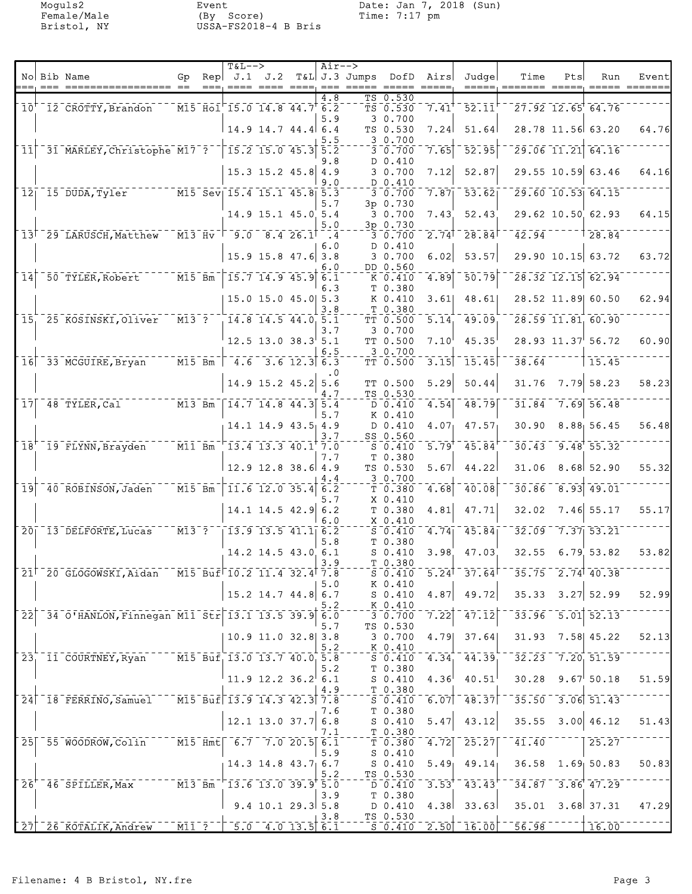Moguls2 Event Date: Jan 7, 2018 (Sun) Female/Male (By Score) Time: 7:17 pm Bristol, NY USSA-FS2018-4 B Bris

| Rep $J.1$ $J.2$ T&L J.3 Jumps<br>No Bib Name<br>Gp<br>DofD Airs<br>Judge<br>== === ================= ==<br>===, ==== ==== ====, ===<br>------ -----<br>4.8<br>TS 0.530<br>TS 0.530<br>$\overline{7.41}$<br>$\overline{52.11}$<br>10 12 CROTTY, Brandon M15 Hol 15.0 14.8 44.7 6.2<br>3 0.700<br>5.9<br>$14.9$ 14.7 44.4 6.4<br>51.64<br>TS 0.530<br>7.24<br>30.700<br>5.5<br>31 MARLEY, Christophe M17 ?<br>$\begin{bmatrix} 15.2 & 15.0 & 45.3 & 5.2 \end{bmatrix}$<br>52.95<br> 11 <br>30.700<br>7.65<br>9.8<br>D 0.410<br>$15.3$ 15.2 45.8 4.9<br>7.12<br>52.87<br>30.700 | Time<br>Pts<br>Run<br>$27.92$ 12.65 64.76<br>28.78 11.56 63.20<br>$\overline{29.06}$ 11.21 64.16<br>29.55 10.59 63.46<br>$29.60$ 10.53 64.15<br>29.62 10.50 62.93<br>42.94<br>$\frac{1}{28.84}$ | Event<br>64.76 |
|------------------------------------------------------------------------------------------------------------------------------------------------------------------------------------------------------------------------------------------------------------------------------------------------------------------------------------------------------------------------------------------------------------------------------------------------------------------------------------------------------------------------------------------------------------------------------|-------------------------------------------------------------------------------------------------------------------------------------------------------------------------------------------------|----------------|
|                                                                                                                                                                                                                                                                                                                                                                                                                                                                                                                                                                              |                                                                                                                                                                                                 |                |
|                                                                                                                                                                                                                                                                                                                                                                                                                                                                                                                                                                              |                                                                                                                                                                                                 |                |
|                                                                                                                                                                                                                                                                                                                                                                                                                                                                                                                                                                              |                                                                                                                                                                                                 |                |
|                                                                                                                                                                                                                                                                                                                                                                                                                                                                                                                                                                              |                                                                                                                                                                                                 |                |
|                                                                                                                                                                                                                                                                                                                                                                                                                                                                                                                                                                              |                                                                                                                                                                                                 | 64.16          |
| D 0.410<br>9.0                                                                                                                                                                                                                                                                                                                                                                                                                                                                                                                                                               |                                                                                                                                                                                                 |                |
| 12 15 DUDA, Tyler M15 Sev 15.4 15.1 45.8 5.3<br>$-53.62$<br>7.87<br>30.700                                                                                                                                                                                                                                                                                                                                                                                                                                                                                                   |                                                                                                                                                                                                 | 64.15          |
| 3p 0.730<br>5.7<br>14.9 15.1 45.0 5.4<br>30.700<br>52.43<br>7.43                                                                                                                                                                                                                                                                                                                                                                                                                                                                                                             |                                                                                                                                                                                                 |                |
| 3p 0.730<br>5.0<br>$13$ <sup>-29</sup> LARUSCH, Matthew M13 Hv <sup>- -</sup> 9.0 8.4 26.1<br>$\sqrt{28.84}$<br>$2.74$ <sup>1</sup><br>30.700<br>$\mathbf{.4}$                                                                                                                                                                                                                                                                                                                                                                                                               |                                                                                                                                                                                                 |                |
| D 0.410<br>6.0<br>$15.9$ 15.8 47.6 3.8<br>30.700<br>53.57<br>6.02                                                                                                                                                                                                                                                                                                                                                                                                                                                                                                            | 29.90 10.15   63.72                                                                                                                                                                             | 63.72          |
| DD 0.560<br>6.0<br>50 TYLER, Robert M15 Bm<br>$-15.7$ $14.9$ $45.9$ $6.1$<br>$\overline{50.79}$<br>$\overline{1}\overline{4}$<br>4.89<br>K 0.410                                                                                                                                                                                                                                                                                                                                                                                                                             | $\overline{28.32}$ 12.15 62.94                                                                                                                                                                  |                |
| T 0.380<br>6.3                                                                                                                                                                                                                                                                                                                                                                                                                                                                                                                                                               |                                                                                                                                                                                                 |                |
| 15.0 15.0 45.0 5.3<br>K 0.410<br>3.61<br>48.61<br>3.8<br>T 0.380                                                                                                                                                                                                                                                                                                                                                                                                                                                                                                             | 28.52 11.89 60.50                                                                                                                                                                               | 62.94          |
| $^{-}$ $\bar{m}$ 13 $^{-}$ ? $^{-}$<br>$14.8$ 14.5 44.0 5.1<br>25 KOSINSKI, Oliver<br>5.14<br>49.09<br>15 <sub>1</sub><br>TT 0.500<br>3.7<br>3 0.700                                                                                                                                                                                                                                                                                                                                                                                                                         | $\overline{28.59}$ 11.81 60.90                                                                                                                                                                  |                |
| $12.5$ 13.0 38.3 5.1<br>45.35<br>TT 0.500<br>7.10<br>3 0.700<br>6.5                                                                                                                                                                                                                                                                                                                                                                                                                                                                                                          | 28.93 11.37 56.72                                                                                                                                                                               | 60.90          |
| $\overline{M15}$ Bm $\overline{)}$ 4.6 3.6 12.3 6.3<br>$\overline{3.15}$ <sup>-</sup> 15.45<br>16 33 MCGUIRE, Bryan<br>TT 0.500                                                                                                                                                                                                                                                                                                                                                                                                                                              | 38.64<br>15.45                                                                                                                                                                                  |                |
| $\cdot$ 0<br>14.9 15.2 45.2 5.6<br>5.29<br>50.44<br>TT 0.500                                                                                                                                                                                                                                                                                                                                                                                                                                                                                                                 | 31.76<br>$7.79$ 58.23                                                                                                                                                                           | 58.23          |
| 4.7<br>TS 0.530<br>$T14.7$ 14.8 44.3 5.4<br>$17$ $48$ TYLER, Cal<br>$D$ 0.410<br>4.54<br>48.79                                                                                                                                                                                                                                                                                                                                                                                                                                                                               | $7.69$ 56.48<br>31.84                                                                                                                                                                           |                |
| K 0.410<br>5.7<br>14.1 14.9 43.5 4.9<br>D 0.410<br>4.07 <sub>1</sub><br>47.57 <sub>1</sub>                                                                                                                                                                                                                                                                                                                                                                                                                                                                                   | 30.90<br>$8.88$ 56.45                                                                                                                                                                           | 56.48          |
| SS 0.560<br>3.7<br>18 <sup>+-</sup> 19 FLYNN, Brayden M11 Bm<br>$1\overline{3.4}$ 13.3 40.1 7.0<br>45.84<br>$S_0.410$<br>5.79'                                                                                                                                                                                                                                                                                                                                                                                                                                               | $30.43$ $9.48$ $55.32$                                                                                                                                                                          |                |
| T 0.380<br>7.7<br>$12.9$ 12.8 38.6 4.9<br>TS 0.530<br>5.67<br>44.22                                                                                                                                                                                                                                                                                                                                                                                                                                                                                                          | 31.06<br>$8.68$ 52.90                                                                                                                                                                           | 55.32          |
| 3 0.700<br>4.4                                                                                                                                                                                                                                                                                                                                                                                                                                                                                                                                                               |                                                                                                                                                                                                 |                |
| $\overline{M15}$ Bm<br>$-11.6$ 12.0 35.4 6.2<br>40 ROBINSON, Jaden<br>40.08<br>19<br>4.68<br>T 0.380<br>X 0.410<br>5.7                                                                                                                                                                                                                                                                                                                                                                                                                                                       | 30.86<br>$\boxed{8.93}$ 49.01                                                                                                                                                                   |                |
| $14.1$ 14.5 42.9 6.2<br>4.81<br>47.71<br>T 0.380<br>6.0<br>X 0.410                                                                                                                                                                                                                                                                                                                                                                                                                                                                                                           | 32.02<br>$7.46$ 55.17                                                                                                                                                                           | 55.17          |
| $ \overline{M13}$ $\overline{3}$ $\overline{2}$ $\overline{2}$<br>20 13 DELFORTE, Lucas<br>$-13.9$ $13.5$ $41.1$ $6.2$<br>$-4.74$<br>45.84<br>$S = 0.410$<br>5.8<br>T 0.380                                                                                                                                                                                                                                                                                                                                                                                                  | $32.09 - 7.37$ 53.21                                                                                                                                                                            |                |
| 14.2 14.5 43.0 6.1<br>$S_0.410$<br>3.98<br>47.03<br>T 0.380<br>3.9                                                                                                                                                                                                                                                                                                                                                                                                                                                                                                           | $32.55$ 6.79 53.82                                                                                                                                                                              | 53.82          |
| $5.24$ <sup>1</sup> 37.64<br>21 20 GLOGOWSKI, Aidan M15 Buf 10.2 11.4 32.4 7.8<br>$S_0.410$                                                                                                                                                                                                                                                                                                                                                                                                                                                                                  | $35.75 - 2.74$ 40.38                                                                                                                                                                            |                |
| K 0.410<br>5.0<br>15.2 14.7 44.8 6.7<br>49.72<br>$S_0.410$<br>4.87                                                                                                                                                                                                                                                                                                                                                                                                                                                                                                           | $35.33$ $3.27$ 52.99                                                                                                                                                                            | 52.99          |
| $K_0.410$<br>5.2<br>34 0 HANLON, Finnegan M11 Str 13.1 13.5 39.9 6.0<br>7.22<br>47.12<br>$\overline{2}\overline{2}$<br>$\overline{3}\,\overline{0}\,\overline{.}\,\overline{7}\,\overline{0}\,\overline{0}$                                                                                                                                                                                                                                                                                                                                                                  | $33.96 - 5.01$ $52.13$                                                                                                                                                                          |                |
| 5.7<br>TS 0.530<br>$10.9$ 11.0 32.8 3.8<br>30.700<br>4.79<br>37.64                                                                                                                                                                                                                                                                                                                                                                                                                                                                                                           | 7.58 45.22<br>31.93                                                                                                                                                                             | 52.13          |
| 5.2<br>K 0.410                                                                                                                                                                                                                                                                                                                                                                                                                                                                                                                                                               |                                                                                                                                                                                                 |                |
| $\overline{M15}$ Buf 13.0 13.7 40.0 5.8<br>44.39<br>23 11 COURTNEY, Ryan<br>4.34<br>S <sub>0.410</sub><br>T 0.380<br>5.2                                                                                                                                                                                                                                                                                                                                                                                                                                                     | $32.23 - 7.20$ , $51.59$                                                                                                                                                                        |                |
| $11.9$ 12.2 36.2 6.1<br>40.51<br>4.36<br>$S_0.410$<br>T 0.380<br>4.9                                                                                                                                                                                                                                                                                                                                                                                                                                                                                                         | $30.28$ 9.67 50.18                                                                                                                                                                              | 51.59          |
| $^{\circ}$ M15 Buf 13.9 14.3 42.3 7.8<br>24 18 FERRINO, Samuel<br>$\overline{6.07}$ $\overline{48.37}$<br>$\overline{\text{S}}$ $\overline{\text{0.410}}$<br>T 0.380<br>7.6                                                                                                                                                                                                                                                                                                                                                                                                  | $35.50 - 3.06$ $51.43$                                                                                                                                                                          |                |
| 12.1 13.0 37.7<br>43.12<br>6.8<br>$S_0.410$<br>5.47<br>7.1                                                                                                                                                                                                                                                                                                                                                                                                                                                                                                                   | 3.00   46.12<br>35.55                                                                                                                                                                           | 51.43          |
| T 0.380<br>$^{-1}$ M15 $\text{Hm}$ t $\mid$ $^{-6}$ .7 $^{-7}$ .0 20.5 $\mid$ 6.1<br>$-4.72$ $-7.72$<br>25.27<br>25 55 WOODROW, Colin<br>T 0.380                                                                                                                                                                                                                                                                                                                                                                                                                             | 41.40<br>25.27                                                                                                                                                                                  |                |
| 5.9<br>$S_0.410$<br>$S$ 0.410<br>14.3 14.8 43.7 6.7<br>$5.49$ 49.14                                                                                                                                                                                                                                                                                                                                                                                                                                                                                                          | $36.58$ 1.69 50.83                                                                                                                                                                              | 50.83          |
| TS 0.530<br>5.2<br>$^{-}$ $\overline{\texttt{M13}}$ $\overline{\texttt{Bm}}$ $\overline{\texttt{}}$<br>$1\overline{3.6}$ 13.0 39.9 5.0<br>$\bar{2}6^{\dagger}$<br>$3.53$ <sup>†</sup><br>43.43<br>46 SPILLER, Max<br>$D \ 0.410$                                                                                                                                                                                                                                                                                                                                             | $34.87 - 3.86$ $47.29$                                                                                                                                                                          |                |
| T 0.380<br>3.9<br>$9.4$ 10.1 29.3 5.8<br>$D$ 0.410<br>$4.38$ 33.63                                                                                                                                                                                                                                                                                                                                                                                                                                                                                                           | $35.01$ $3.68$ $37.31$                                                                                                                                                                          | 47.29          |
| TS 0.530<br>3.8<br>$\overline{M11}$ ? $\overline{5.0}$ 4.0 13.5 6.1<br>$\left[ 2.50 \right]$ $\left[ 16.00 \right]$<br>$\sqrt{27}$ $\sqrt{26}$ KOTALIK, Andrew<br>$S_0.410$                                                                                                                                                                                                                                                                                                                                                                                                  | 56.98<br>16.00                                                                                                                                                                                  |                |